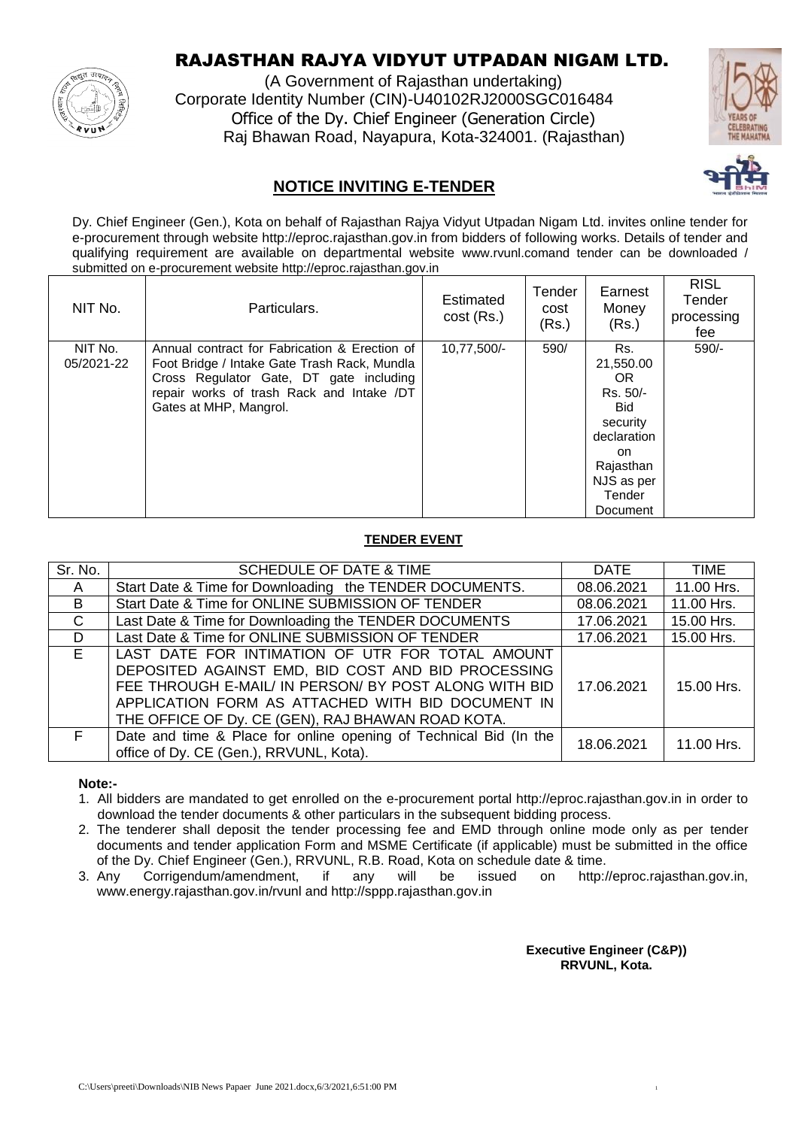

# RAJASTHAN RAJYA VIDYUT UTPADAN NIGAM LTD.

(A Government of Rajasthan undertaking) Corporate Identity Number (CIN)-U40102RJ2000SGC016484 Office of the Dy. Chief Engineer (Generation Circle) Raj Bhawan Road, Nayapura, Kota-324001. (Rajasthan)



# **NOTICE INVITING E-TENDER**

Dy. Chief Engineer (Gen.), Kota on behalf of Rajasthan Rajya Vidyut Utpadan Nigam Ltd. invites online tender for e-procurement through website http://eproc.rajasthan.gov.in from bidders of following works. Details of tender and qualifying requirement are available on departmental website www.rvunl.comand tender can be downloaded / submitted on e-procurement website http://eproc.rajasthan.gov.in

| NIT No.               | Particulars.                                                                                                                                                                                                    | Estimated<br>$cost$ (Rs.) | Tender<br>cost<br>(Rs.) | Earnest<br>Money<br>(Rs.)                                                                                                            | <b>RISL</b><br>Tender<br>processing<br>fee |
|-----------------------|-----------------------------------------------------------------------------------------------------------------------------------------------------------------------------------------------------------------|---------------------------|-------------------------|--------------------------------------------------------------------------------------------------------------------------------------|--------------------------------------------|
| NIT No.<br>05/2021-22 | Annual contract for Fabrication & Erection of<br>Foot Bridge / Intake Gate Trash Rack, Mundla<br>Cross Regulator Gate, DT gate including<br>repair works of trash Rack and Intake /DT<br>Gates at MHP, Mangrol. | 10,77,500/-               | 590/                    | Rs.<br>21,550.00<br>OR.<br>Rs. 50/-<br><b>Bid</b><br>security<br>declaration<br>on.<br>Rajasthan<br>NJS as per<br>Tender<br>Document | $590/-$                                    |

#### **TENDER EVENT**

| Sr. No.      | <b>SCHEDULE OF DATE &amp; TIME</b>                                | <b>DATE</b> | <b>TIME</b> |
|--------------|-------------------------------------------------------------------|-------------|-------------|
| A            | Start Date & Time for Downloading the TENDER DOCUMENTS.           | 08.06.2021  | 11.00 Hrs.  |
| B.           | Start Date & Time for ONLINE SUBMISSION OF TENDER                 | 08.06.2021  | 11.00 Hrs.  |
| $\mathsf{C}$ | Last Date & Time for Downloading the TENDER DOCUMENTS             | 17.06.2021  | 15.00 Hrs.  |
| D.           | Last Date & Time for ONLINE SUBMISSION OF TENDER                  | 17.06.2021  | 15.00 Hrs.  |
| E.           | LAST DATE FOR INTIMATION OF UTR FOR TOTAL AMOUNT                  |             |             |
|              | DEPOSITED AGAINST EMD, BID COST AND BID PROCESSING                |             |             |
|              | FEE THROUGH E-MAIL/ IN PERSON/ BY POST ALONG WITH BID             | 17.06.2021  | 15.00 Hrs.  |
|              | APPLICATION FORM AS ATTACHED WITH BID DOCUMENT IN                 |             |             |
|              | THE OFFICE OF Dy. CE (GEN), RAJ BHAWAN ROAD KOTA.                 |             |             |
| F.           | Date and time & Place for online opening of Technical Bid (In the | 18.06.2021  | 11.00 Hrs.  |
|              | office of Dy. CE (Gen.), RRVUNL, Kota).                           |             |             |

**Note:-**

1. All bidders are mandated to get enrolled on the e-procurement portal http://eproc.rajasthan.gov.in in order to download the tender documents & other particulars in the subsequent bidding process.

2. The tenderer shall deposit the tender processing fee and EMD through online mode only as per tender documents and tender application Form and MSME Certificate (if applicable) must be submitted in the office of the Dy. Chief Engineer (Gen.), RRVUNL, R.B. Road, Kota on schedule date & time.

3. Any Corrigendum/amendment, if any will be issued on http://eproc.rajasthan.gov.in, www.energy.rajasthan.gov.in/rvunl and http://sppp.rajasthan.gov.in

> **Executive Engineer (C&P)) RRVUNL, Kota.**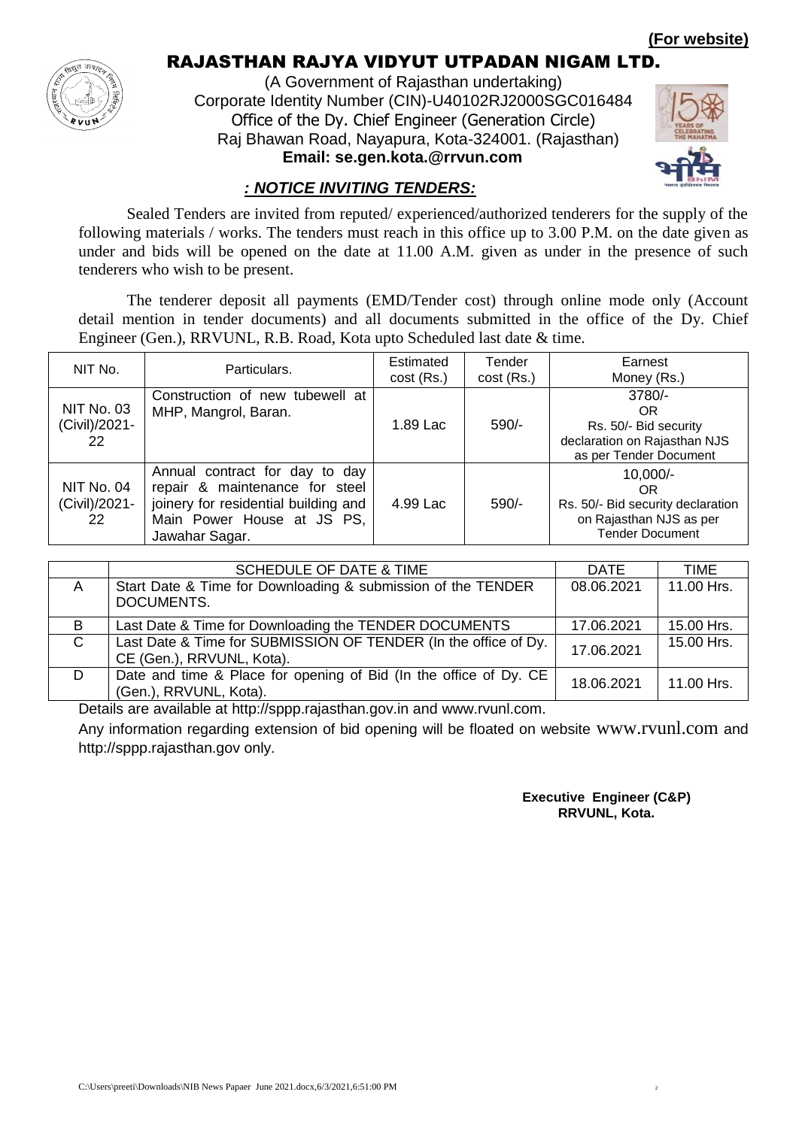**(For website)**



# RAJASTHAN RAJYA VIDYUT UTPADAN NIGAM LTD.

(A Government of Rajasthan undertaking) Corporate Identity Number (CIN)-U40102RJ2000SGC016484 Office of the Dy. Chief Engineer (Generation Circle) Raj Bhawan Road, Nayapura, Kota-324001. (Rajasthan)  **Email: se.gen.kota.@rrvun.com**



### *: NOTICE INVITING TENDERS:*

Sealed Tenders are invited from reputed/ experienced/authorized tenderers for the supply of the following materials / works. The tenders must reach in this office up to 3.00 P.M. on the date given as under and bids will be opened on the date at 11.00 A.M. given as under in the presence of such tenderers who wish to be present.

The tenderer deposit all payments (EMD/Tender cost) through online mode only (Account detail mention in tender documents) and all documents submitted in the office of the Dy. Chief Engineer (Gen.), RRVUNL, R.B. Road, Kota upto Scheduled last date & time.

| NIT No.                                  | Particulars.                                                                                                                                             | Estimated<br>cost (Rs.) | Tender<br>$cost$ (Rs.) | Earnest<br>Money (Rs.)                                                                                     |
|------------------------------------------|----------------------------------------------------------------------------------------------------------------------------------------------------------|-------------------------|------------------------|------------------------------------------------------------------------------------------------------------|
| <b>NIT No. 03</b><br>(Civil)/2021-<br>22 | Construction of new tubewell at<br>MHP, Mangrol, Baran.                                                                                                  | 1.89 Lac                | 590/-                  | $3780/-$<br>OR<br>Rs. 50/- Bid security<br>declaration on Rajasthan NJS<br>as per Tender Document          |
| NIT No. 04<br>(Civil)/2021-<br>22        | Annual contract for day to day<br>repair & maintenance for steel<br>joinery for residential building and<br>Main Power House at JS PS,<br>Jawahar Sagar. | 4.99 Lac                | $590/-$                | $10,000/-$<br>OR<br>Rs. 50/- Bid security declaration<br>on Rajasthan NJS as per<br><b>Tender Document</b> |

|              | <b>SCHEDULE OF DATE &amp; TIME</b>                                                           | <b>DATE</b> | TIME       |
|--------------|----------------------------------------------------------------------------------------------|-------------|------------|
| A            | Start Date & Time for Downloading & submission of the TENDER<br>DOCUMENTS.                   | 08.06.2021  | 11.00 Hrs. |
| B            | Last Date & Time for Downloading the TENDER DOCUMENTS                                        | 17.06.2021  | 15.00 Hrs. |
| $\mathsf{C}$ | Last Date & Time for SUBMISSION OF TENDER (In the office of Dy.<br>CE (Gen.), RRVUNL, Kota). | 17.06.2021  | 15.00 Hrs. |
| D            | Date and time & Place for opening of Bid (In the office of Dy. CE<br>(Gen.), RRVUNL, Kota).  | 18.06.2021  | 11.00 Hrs. |

Details are available at http://sppp.rajasthan.gov.in and www.rvunl.com.

Any information regarding extension of bid opening will be floated on website www.rvunl.com and http://sppp.rajasthan.gov only.

> **Executive Engineer (C&P) RRVUNL, Kota.**